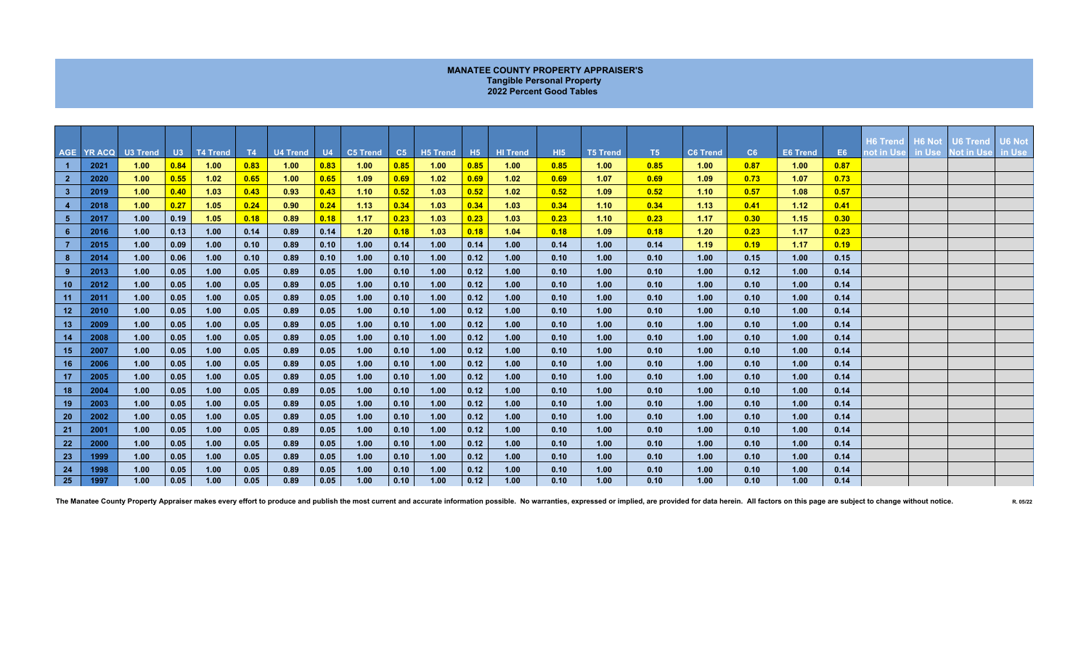## **MANATEE COUNTY PROPERTY APPRAISER'S Tangible Personal Property 2022 Percent Good Tables**

|                 |            |          |      |          |      |                 |      |                 |      |                 |      |                 |            |                 |      |                 |      |                 |           |                                 |        |                               | <b>U6 Not</b> |
|-----------------|------------|----------|------|----------|------|-----------------|------|-----------------|------|-----------------|------|-----------------|------------|-----------------|------|-----------------|------|-----------------|-----------|---------------------------------|--------|-------------------------------|---------------|
|                 | AGE YR ACQ | U3 Trend | U3   | T4 Trend | T4   | <b>U4 Trend</b> | U4   | <b>C5 Trend</b> | C5   | <b>H5 Trend</b> | H5   | <b>HI Trend</b> | <b>HI5</b> | <b>T5 Trend</b> | T5   | <b>C6 Trend</b> | C6   | <b>E6 Trend</b> | <b>E6</b> | H6 Trend   H6 Not<br>not in Use | in Use | <b>U6 Trend</b><br>Not in Use | in Use        |
| $\blacksquare$  | 2021       | 1.00     | 0.84 | 1.00     | 0.83 | 1.00            | 0.83 | 1.00            | 0.85 | 1.00            | 0.85 | 1.00            | 0.85       | 1.00            | 0.85 | 1.00            | 0.87 | 1.00            | 0.87      |                                 |        |                               |               |
| 2 <sup>7</sup>  | 2020       | 1.00     | 0.55 | 1.02     | 0.65 | 1.00            | 0.65 | 1.09            | 0.69 | 1.02            | 0.69 | 1.02            | 0.69       | 1.07            | 0.69 | 1.09            | 0.73 | 1.07            | 0.73      |                                 |        |                               |               |
| 3 <sup>7</sup>  | 2019       | 1.00     | 0.40 | 1.03     | 0.43 | 0.93            | 0.43 | 1.10            | 0.52 | 1.03            | 0.52 | 1.02            | 0.52       | 1.09            | 0.52 | 1.10            | 0.57 | 1.08            | 0.57      |                                 |        |                               |               |
| $\overline{4}$  | 2018       | 1.00     | 0.27 | 1.05     | 0.24 | 0.90            | 0.24 | 1.13            | 0.34 | 1.03            | 0.34 | 1.03            | 0.34       | 1.10            | 0.34 | 1.13            | 0.41 | 1.12            | 0.41      |                                 |        |                               |               |
| 5 <sub>1</sub>  | 2017       | 1.00     | 0.19 | 1.05     | 0.18 | 0.89            | 0.18 | 1.17            | 0.23 | 1.03            | 0.23 | 1.03            | 0.23       | 1.10            | 0.23 | 1.17            | 0.30 | 1.15            | 0.30      |                                 |        |                               |               |
| $6^{\circ}$     | 2016       | 1.00     | 0.13 | 1.00     | 0.14 | 0.89            | 0.14 | 1.20            | 0.18 | 1.03            | 0.18 | 1.04            | 0.18       | 1.09            | 0.18 | 1.20            | 0.23 | 1.17            | 0.23      |                                 |        |                               |               |
| $\overline{7}$  | 2015       | 1.00     | 0.09 | 1.00     | 0.10 | 0.89            | 0.10 | 1.00            | 0.14 | 1.00            | 0.14 | 1.00            | 0.14       | 1.00            | 0.14 | 1.19            | 0.19 | 1.17            | 0.19      |                                 |        |                               |               |
| 8               | 2014       | 1.00     | 0.06 | 1.00     | 0.10 | 0.89            | 0.10 | 1.00            | 0.10 | 1.00            | 0.12 | 1.00            | 0.10       | 1.00            | 0.10 | 1.00            | 0.15 | 1.00            | 0.15      |                                 |        |                               |               |
| $9^{\circ}$     | 2013       | 1.00     | 0.05 | 1.00     | 0.05 | 0.89            | 0.05 | 1.00            | 0.10 | 1.00            | 0.12 | 1.00            | 0.10       | 1.00            | 0.10 | 1.00            | 0.12 | 1.00            | 0.14      |                                 |        |                               |               |
| 10 <sub>1</sub> | 2012       | 1.00     | 0.05 | 1.00     | 0.05 | 0.89            | 0.05 | 1.00            | 0.10 | 1.00            | 0.12 | 1.00            | 0.10       | 1.00            | 0.10 | 1.00            | 0.10 | 1.00            | 0.14      |                                 |        |                               |               |
| 11              | 2011       | 1.00     | 0.05 | 1.00     | 0.05 | 0.89            | 0.05 | 1.00            | 0.10 | 1.00            | 0.12 | 1.00            | 0.10       | 1.00            | 0.10 | 1.00            | 0.10 | 1.00            | 0.14      |                                 |        |                               |               |
| 12 <sub>2</sub> | 2010       | 1.00     | 0.05 | 1.00     | 0.05 | 0.89            | 0.05 | 1.00            | 0.10 | 1.00            | 0.12 | 1.00            | 0.10       | 1.00            | 0.10 | 1.00            | 0.10 | 1.00            | 0.14      |                                 |        |                               |               |
| 13 <sub>1</sub> | 2009       | 1.00     | 0.05 | 1.00     | 0.05 | 0.89            | 0.05 | 1.00            | 0.10 | 1.00            | 0.12 | 1.00            | 0.10       | 1.00            | 0.10 | 1.00            | 0.10 | 1.00            | 0.14      |                                 |        |                               |               |
| 14              | 2008       | 1.00     | 0.05 | 1.00     | 0.05 | 0.89            | 0.05 | 1.00            | 0.10 | 1.00            | 0.12 | 1.00            | 0.10       | 1.00            | 0.10 | 1.00            | 0.10 | 1.00            | 0.14      |                                 |        |                               |               |
| 15 <sub>1</sub> | 2007       | 1.00     | 0.05 | 1.00     | 0.05 | 0.89            | 0.05 | 1.00            | 0.10 | 1.00            | 0.12 | 1.00            | 0.10       | 1.00            | 0.10 | 1.00            | 0.10 | 1.00            | 0.14      |                                 |        |                               |               |
| 16              | 2006       | 1.00     | 0.05 | 1.00     | 0.05 | 0.89            | 0.05 | 1.00            | 0.10 | 1.00            | 0.12 | 1.00            | 0.10       | 1.00            | 0.10 | 1.00            | 0.10 | 1.00            | 0.14      |                                 |        |                               |               |
| 17              | 2005       | 1.00     | 0.05 | 1.00     | 0.05 | 0.89            | 0.05 | 1.00            | 0.10 | 1.00            | 0.12 | 1.00            | 0.10       | 1.00            | 0.10 | 1.00            | 0.10 | 1.00            | 0.14      |                                 |        |                               |               |
| 18              | 2004       | 1.00     | 0.05 | 1.00     | 0.05 | 0.89            | 0.05 | 1.00            | 0.10 | 1.00            | 0.12 | 1.00            | 0.10       | 1.00            | 0.10 | 1.00            | 0.10 | 1.00            | 0.14      |                                 |        |                               |               |
| 19              | 2003       | 1.00     | 0.05 | 1.00     | 0.05 | 0.89            | 0.05 | 1.00            | 0.10 | 1.00            | 0.12 | 1.00            | 0.10       | 1.00            | 0.10 | 1.00            | 0.10 | 1.00            | 0.14      |                                 |        |                               |               |
| 20              | 2002       | 1.00     | 0.05 | 1.00     | 0.05 | 0.89            | 0.05 | 1.00            | 0.10 | 1.00            | 0.12 | 1.00            | 0.10       | 1.00            | 0.10 | 1.00            | 0.10 | 1.00            | 0.14      |                                 |        |                               |               |
| 21              | 2001       | 1.00     | 0.05 | 1.00     | 0.05 | 0.89            | 0.05 | 1.00            | 0.10 | 1.00            | 0.12 | 1.00            | 0.10       | 1.00            | 0.10 | 1.00            | 0.10 | 1.00            | 0.14      |                                 |        |                               |               |
| 22              | 2000       | 1.00     | 0.05 | 1.00     | 0.05 | 0.89            | 0.05 | 1.00            | 0.10 | 1.00            | 0.12 | 1.00            | 0.10       | 1.00            | 0.10 | 1.00            | 0.10 | 1.00            | 0.14      |                                 |        |                               |               |
| 23              | 1999       | 1.00     | 0.05 | 1.00     | 0.05 | 0.89            | 0.05 | 1.00            | 0.10 | 1.00            | 0.12 | 1.00            | 0.10       | 1.00            | 0.10 | 1.00            | 0.10 | 1.00            | 0.14      |                                 |        |                               |               |
| 24              | 1998       | 1.00     | 0.05 | 1.00     | 0.05 | 0.89            | 0.05 | 1.00            | 0.10 | 1.00            | 0.12 | 1.00            | 0.10       | 1.00            | 0.10 | 1.00            | 0.10 | 1.00            | 0.14      |                                 |        |                               |               |
| 25              | 1997       | 1.00     | 0.05 | 1.00     | 0.05 | 0.89            | 0.05 | 1.00            | 0.10 | 1.00            | 0.12 | 1.00            | 0.10       | 1.00            | 0.10 | 1.00            | 0.10 | 1.00            | 0.14      |                                 |        |                               |               |

The Manatee County Property Appraiser makes every effort to produce and publish the most current and accurate information possible. No warranties, expressed or implied, are provided for data herein. All factors on this pag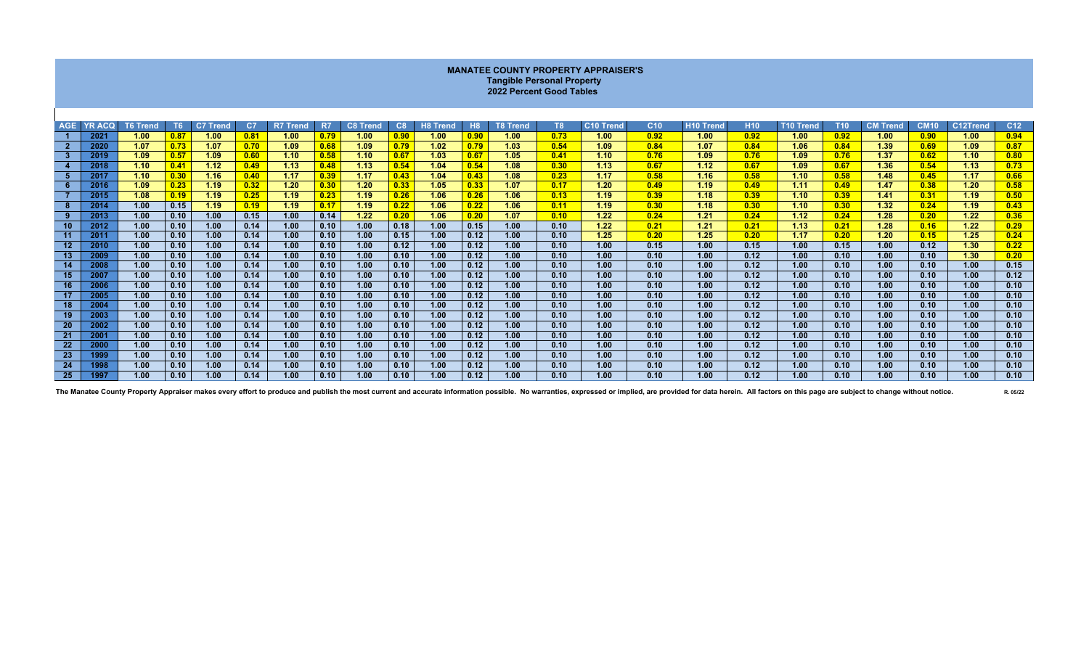| <b>MANATEE COUNTY PROPERTY APPRAISER'S</b><br><b>Tangible Personal Property</b><br>2022 Percent Good Tables                                                                                                                                                                                                                                                                              |              |              |              |              |              |              |              |              |              |              |              |              |              |              |              |              |              |              |              |              |              |              |                         |
|------------------------------------------------------------------------------------------------------------------------------------------------------------------------------------------------------------------------------------------------------------------------------------------------------------------------------------------------------------------------------------------|--------------|--------------|--------------|--------------|--------------|--------------|--------------|--------------|--------------|--------------|--------------|--------------|--------------|--------------|--------------|--------------|--------------|--------------|--------------|--------------|--------------|--------------|-------------------------|
| C <sub>10</sub> Trend<br>C <sub>10</sub><br><b>CM10</b><br>C12Trend<br><b>YR ACQ</b><br>T <sub>6</sub><br>C7 Trend<br>C <sub>7</sub><br><b>R7 Trend</b><br><b>C8 Trend</b><br>C8<br>H <sub>8</sub><br><b>T8 Trend</b><br>T <sub>8</sub><br><b>H10 Trend</b><br><b>H10</b><br><b>T10 Trend</b><br><b>T10</b><br><b>CM Trend</b><br><b>AGE</b><br><b>T6 Trend</b><br>R7<br><b>H8 Trend</b> |              |              |              |              |              |              |              |              |              |              |              |              |              |              |              |              |              |              |              |              |              |              |                         |
|                                                                                                                                                                                                                                                                                                                                                                                          | 2021         | 1.00         | 0.87         | 1.00         | 0.81         | 1.00         | 0.79         | 1.00         | 0.90         | 1.00         | 0.90         | 1.00         | 0.73         | 1.00         | 0.92         | 1.00         | 0.92         | 1.00         | 0.92         | 1.00         | 0.90         | 1.00         | C <sub>12</sub><br>0.94 |
| $\overline{2}$                                                                                                                                                                                                                                                                                                                                                                           | 2020         | 1.07         | 0.73         | 1.07         | 0.70         | 1.09         | 0.68         | 1.09         | 0.79         | 1.02         | 0.79         | 1.03         | 0.54         | 1.09         | 0.84         | 1.07         | 0.84         | 1.06         | 0.84         | 1.39         | 0.69         | 1.09         | 0.87                    |
| $\mathbf{3}$                                                                                                                                                                                                                                                                                                                                                                             | 2019         | 1.09         | 0.57         | 1.09         | 0.60         | 1.10         | 0.58         | 1.10         | 0.67         | 1.03         | 0.67         | 1.05         | 0.41         | 1.10         | 0.76         | 1.09         | 0.76         | 1.09         | 0.76         | 1.37         | 0.62         | 1.10         | 0.80                    |
|                                                                                                                                                                                                                                                                                                                                                                                          | 2018         | 1.10         | 0.41         | 1.12         | 0.49         | 1.13         | 0.48         | 1.13         | 0.54         | 1.04         | 0.54         | 1.08         | 0.30         | 1.13         | 0.67         | 1.12         | 0.67         | 1.09         | 0.67         | 1.36         | 0.54         | 1.13         | 0.73                    |
| -5                                                                                                                                                                                                                                                                                                                                                                                       | 2017         | 1.10         | 0.30         | 1.16         | 0.40         | 1.17         | 0.39         | 1.17         | 0.43         | 1.04         | 0.43         | 1.08         | 0.23         | 1.17         | 0.58         | 1.16         | 0.58         | 1.10         | 0.58         | 1.48         | 0.45         | 1.17         | 0.66                    |
| 6                                                                                                                                                                                                                                                                                                                                                                                        | 2016         | 1.09         | 0.23         | 1.19         | 0.32         | 1.20         | 0.30         | 1.20         | 0.33         | 1.05         | 0.33         | 1.07         | 0.17         | 1.20         | 0.49         | 1.19         | 0.49         | 1.11         | 0.49         | 1.47         | 0.38         | 1.20         | 0.58                    |
|                                                                                                                                                                                                                                                                                                                                                                                          | 2015         | 1.08         | 0.19         | 1.19         | 0.25         | 1.19         | 0.23         | 1.19         | 0.26         | 1.06         | 0.26         | 1.06         | 0.13         | 1.19         | 0.39         | 1.18         | 0.39         | 1.10         | 0.39         | 1.41         | 0.31         | 1.19         | 0.50                    |
| 8                                                                                                                                                                                                                                                                                                                                                                                        | 2014         | 1.00         | 0.15         | 1.19         | 0.19         | 1.19         | 0.17         | 1.19         | 0.22         | 1.06         | 0.22         | 1.06         | 0.11         | 1.19         | 0.30         | 1.18         | 0.30         | 1.10         | 0.30         | 1.32         | 0.24         | 1.19         | 0.43                    |
| 9                                                                                                                                                                                                                                                                                                                                                                                        | 2013         | 1.00         | 0.10         | 1.00         | 0.15         | 1.00         | 0.14         | 1.22         | 0.20         | 1.06         | 0.20         | 1.07         | 0.10         | 1.22         | 0.24         | 1.21         | 0.24         | 1.12         | 0.24         | 1.28         | 0.20         | 1.22         | 0.36                    |
| 10                                                                                                                                                                                                                                                                                                                                                                                       | 2012         | 1.00         | 0.10         | 1.00         | 0.14         | 1.00         | 0.10         | 1.00         | 0.18         | 1.00         | 0.15         | 1.00         | 0.10         | 1.22         | 0.21         | 1.21         | 0.21         | 1.13         | 0.21         | 1.28         | 0.16         | 1.22         | 0.29                    |
| 11                                                                                                                                                                                                                                                                                                                                                                                       | 2011         | 1.00         | 0.10         | 1.00         | 0.14         | 1.00         | 0.10         | 1.00         | 0.15         | 1.00         | 0.12         | 1.00         | 0.10         | 1.25         | 0.20         | 1.25         | 0.20         | 1.17         | 0.20         | 1.20         | 0.15         | 1.25         | 0.24                    |
| 12 <sup>2</sup>                                                                                                                                                                                                                                                                                                                                                                          | 2010         | 1.00         | 0.10         | 1.00         | 0.14         | 1.00         | 0.10         | 1.00         | 0.12         | 1.00         | 0.12         | 1.00         | 0.10         | 1.00         | 0.15         | 1.00         | 0.15         | 1.00         | 0.15         | 1.00         | 0.12         | 1.30         | 0.22                    |
| 13                                                                                                                                                                                                                                                                                                                                                                                       | 2009         | 1.00         | 0.10         | 1.00         | 0.14         | 1.00         | 0.10         | 1.00         | 0.10         | 1.00         | 0.12         | 1.00         | 0.10         | 1.00         | 0.10         | 1.00         | 0.12         | 1.00         | 0.10         | 1.00         | 0.10         | 1.30         | 0.20                    |
| 14                                                                                                                                                                                                                                                                                                                                                                                       | 2008         | 1.00         | 0.10         | 1.00         | 0.14         | 1.00         | 0.10         | 1.00         | 0.10         | 1.00         | 0.12         | 1.00         | 0.10         | 1.00         | 0.10         | 1.00         | 0.12         | 1.00         | 0.10         | 1.00         | 0.10         | 1.00         | 0.15                    |
| 15                                                                                                                                                                                                                                                                                                                                                                                       | 2007         | 1.00         | 0.10         | 1.00         | 0.14         | 1.00         | 0.10         | 1.00         | 0.10         | 1.00         | 0.12         | 1.00         | 0.10         | 1.00         | 0.10         | 1.00         | 0.12         | 1.00         | 0.10         | 1.00         | 0.10         | 1.00         | 0.12                    |
| 16                                                                                                                                                                                                                                                                                                                                                                                       | 2006         | 1.00         | 0.10         | 1.00         | 0.14         | 1.00         | 0.10         | 1.00         | 0.10         | 1.00         | 0.12         | 1.00         | 0.10         | 1.00         | 0.10         | 1.00         | 0.12         | 1.00         | 0.10         | 1.00         | 0.10         | 1.00         | 0.10                    |
| 17                                                                                                                                                                                                                                                                                                                                                                                       | 2005         | 1.00         | 0.10         | 1.00         | 0.14         | 1.00         | 0.10         | 1.00         | 0.10         | 1.00         | 0.12         | 1.00         | 0.10         | 1.00         | 0.10         | 1.00         | 0.12         | 1.00         | 0.10         | 1.00         | 0.10         | 1.00         | 0.10                    |
| 18<br>19                                                                                                                                                                                                                                                                                                                                                                                 | 2004<br>2003 | 1.00<br>1.00 | 0.10<br>0.10 | 1.00<br>1.00 | 0.14<br>0.14 | 1.00<br>1.00 | 0.10<br>0.10 | 1.00<br>1.00 | 0.10<br>0.10 | 1.00<br>1.00 | 0.12<br>0.12 | 1.00<br>1.00 | 0.10<br>0.10 | 1.00<br>1.00 | 0.10<br>0.10 | 1.00<br>1.00 | 0.12<br>0.12 | 1.00<br>1.00 | 0.10<br>0.10 | 1.00<br>1.00 | 0.10<br>0.10 | 1.00<br>1.00 | 0.10<br>0.10            |
| 20                                                                                                                                                                                                                                                                                                                                                                                       | 2002         | 1.00         | 0.10         | 1.00         | 0.14         | 1.00         | 0.10         | 1.00         | 0.10         | 1.00         | 0.12         | 1.00         | 0.10         | 1.00         | 0.10         | 1.00         | 0.12         | 1.00         | 0.10         | 1.00         | 0.10         | 1.00         | 0.10                    |
| 21                                                                                                                                                                                                                                                                                                                                                                                       | 2001         | 1.00         | 0.10         | 1.00         | 0.14         | 1.00         | 0.10         | 1.00         | 0.10         | 1.00         | 0.12         | 1.00         | 0.10         | 1.00         | 0.10         | 1.00         | 0.12         | 1.00         | 0.10         | 1.00         | 0.10         | 1.00         | 0.10                    |
| 22                                                                                                                                                                                                                                                                                                                                                                                       | 2000         | 1.00         | 0.10         | 1.00         | 0.14         | 1.00         | 0.10         | 1.00         | 0.10         | 1.00         | 0.12         | 1.00         | 0.10         | 1.00         | 0.10         | 1.00         | 0.12         | 1.00         | 0.10         | 1.00         | 0.10         | 1.00         | 0.10                    |
| 23                                                                                                                                                                                                                                                                                                                                                                                       | 1999         | 1.00         | 0.10         | 1.00         | 0.14         | 1.00         | 0.10         | 1.00         | 0.10         | 1.00         | 0.12         | 1.00         | 0.10         | 1.00         | 0.10         | 1.00         | 0.12         | 1.00         | 0.10         | 1.00         | 0.10         | 1.00         | 0.10                    |
| 24                                                                                                                                                                                                                                                                                                                                                                                       | 1998         | 1.00         | 0.10         | 1.00         | 0.14         | 1.00         | 0.10         | 1.00         | 0.10         | 1.00         | 0.12         | 1.00         | 0.10         | 1.00         | 0.10         | 1.00         | 0.12         | 1.00         | 0.10         | 1.00         | 0.10         | 1.00         | 0.10                    |
| 25                                                                                                                                                                                                                                                                                                                                                                                       | 1997         | 1.00         | 0.10         | 1.00         | 0.14         | 1.00         | 0.10         | 1.00         | 0.10         | 1.00         | 0.12         | 1.00         | 0.10         | 1.00         | 0.10         | 1.00         | 0.12         | 1.00         | 0.10         | 1.00         | 0.10         | 1.00         | 0.10                    |

The Manatee County Property Appraiser makes every effort to produce and publish the most current and accurate information possible. No warranties, expressed or implied, are provided for data herein. All factors on this pag